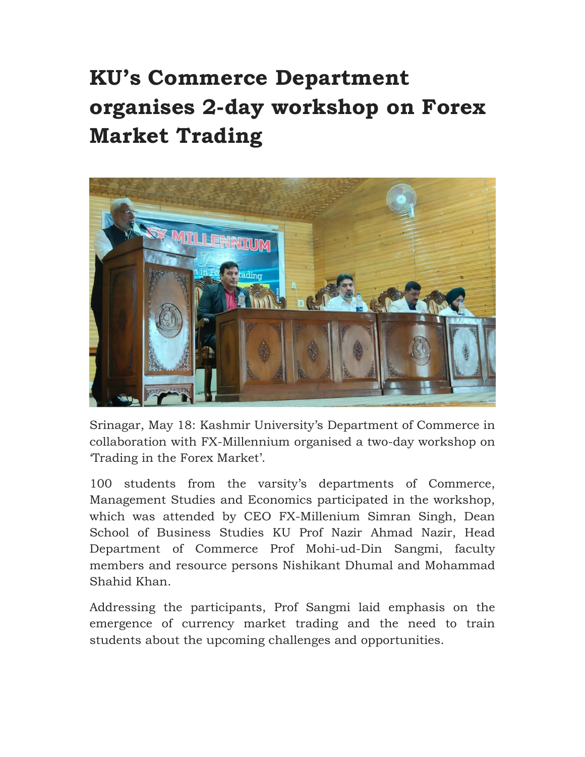## **KU's Commerce Department organises 2-day workshop on Forex Market Trading**



Srinagar, May 18: Kashmir University's Department of Commerce in collaboration with FX-Millennium organised a two-day workshop on 'Trading in the Forex Market'.

100 students from the varsity's departments of Commerce, Management Studies and Economics participated in the workshop, which was attended by CEO FX-Millenium Simran Singh, Dean School of Business Studies KU Prof Nazir Ahmad Nazir, Head Department of Commerce Prof Mohi-ud-Din Sangmi, faculty members and resource persons Nishikant Dhumal and Mohammad Shahid Khan.

Addressing the participants, Prof Sangmi laid emphasis on the emergence of currency market trading and the need to train students about the upcoming challenges and opportunities.